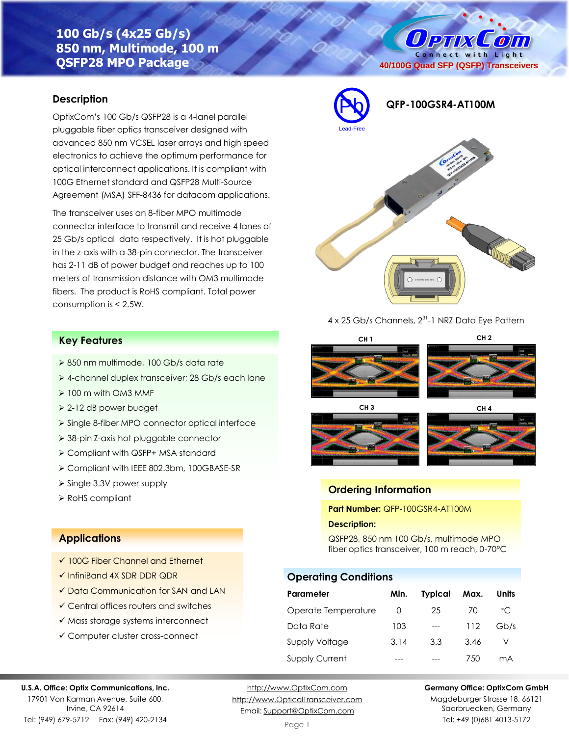# **100 Gb/s (4x25 Gb/s) 850 nm, Multimode, 100 m QSFP28 MPO Package**

# **Description**

OptixCom's 100 Gb/s QSFP28 is a 4-lanel parallel pluggable fiber optics transceiver designed with advanced 850 nm VCSEL laser arrays and high speed electronics to achieve the optimum performance for optical interconnect applications. It is compliant with 100G Ethernet standard and QSFP28 Multi-Source Agreement (MSA) SFF-8436 for datacom applications.

The transceiver uses an 8-fiber MPO multimode connector interface to transmit and receive 4 lanes of 25 Gb/s optical data respectively. It is hot pluggable in the z-axis with a 38-pin connector. The transceiver has 2-11 dB of power budget and reaches up to 100 meters of transmission distance with OM3 multimode fibers. The product is RoHS compliant. Total power consumption is < 2.5W.



4 x 25 Gb/s Channels, 2<sup>31</sup>-1 NRZ Data Eye Pattern

**CH 3 CH 4**

# **Key Features**

- ➢ 850 nm multimode, 100 Gb/s data rate
- ➢ 4-channel duplex transceiver; 28 Gb/s each lane
- ➢ 100 m with OM3 MMF
- ➢ 2-12 dB power budget
- ➢ Single 8-fiber MPO connector optical interface
- ➢ 38-pin Z-axis hot pluggable connector
- ➢ Compliant with QSFP+ MSA standard
- ➢ Compliant with IEEE 802.3bm, 100GBASE-SR
- ➢ Single 3.3V power supply
- ➢ RoHS compliant

## **Applications**

**U.S.A. Office: Optix Communications, Inc.** 17901 Von Karman Avenue, Suite 600, Irvine, CA 92614 Tel: (949) 679-5712 Fax: (949) 420-2134

- ✓ 100G Fiber Channel and Ethernet
- ✓ InfiniBand 4X SDR DDR QDR
- ✓ Data Communication for SAN and LAN
- ✓ Central offices routers and switches
- ✓ Mass storage systems interconnect
- ✓ Computer cluster cross-connect

### [http://www.OptixCom.com](http://www.optixcom.com/) [http://www.OpticalTransceiver.com](http://www.optoictech.com/) Email: [Support@OptixCom.com](mailto:Support@optoICtech.com)

#### **Germany Office: OptixCom GmbH**

Magdeburger Strasse 18, 66121 Saarbruecken, Germany Tel: +49 (0)681 4013-5172

#### Page 1

**CH 1 CH 2**

**40/100G Quad SFP (QSFP) Transceivers**

O PTIX COM Connect with Light

# **Ordering Information**

**Part Number:** QFP-100GSR4-AT100M

#### **Description:**

QSFP28, 850 nm 100 Gb/s, multimode MPO fiber optics transceiver, 100 m reach, 0-70°C

## **Operating Conditions**

| Parameter           | Min. | Typical | Max. | Units        |
|---------------------|------|---------|------|--------------|
| Operate Temperature | O    | 25      | 70   | $^{\circ}$ C |
| Data Rate           | 103  |         | 112  | Gb/s         |
| Supply Voltage      | 3.14 | 3.3     | 3.46 |              |
| Supply Current      |      |         | 750  | mA           |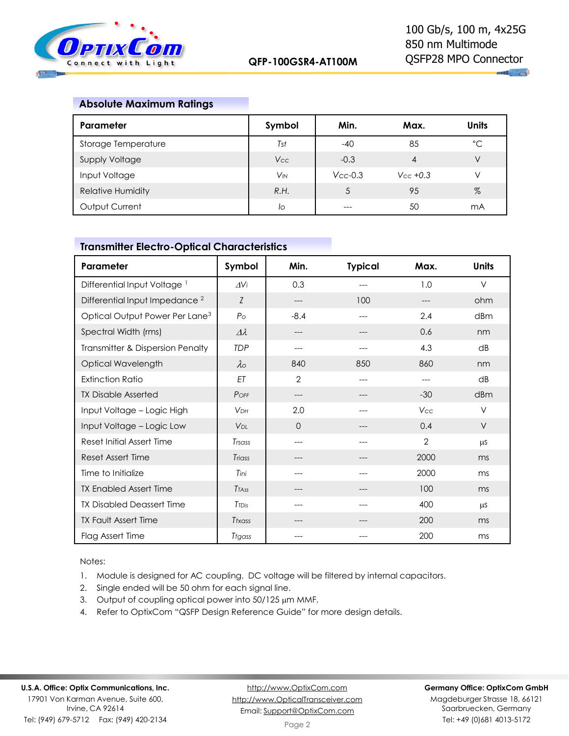

## **Absolute Maximum Ratings**

| Parameter                | Symbol     | Min.          | Max.          | <b>Units</b> |
|--------------------------|------------|---------------|---------------|--------------|
| Storage Temperature      | Tst        | $-40$         | 85            | °C           |
| Supply Voltage           | <b>Vcc</b> | $-0.3$        | 4             | V            |
| Input Voltage            | $V_{IN}$   | $V_{CC}$ -0.3 | $V_{CC}$ +0.3 | V            |
| <b>Relative Humidity</b> | R.H.       | 5             | 95            | %            |
| Output Current           | lo         |               | 50            | mA           |

# **Parameter Symbol Min. Typical Max. Units** Differential Input Voltage <sup>1</sup> D<sub>*AVi*</sub> **b** 0.3 --- 1.0 V Differential Input Impedance<sup>2</sup> *Z* --- 100 --- ohm Optical Output Power Per Lane<sup>3</sup> *P*<sub>o</sub> **P**<sub>o</sub> -8.4 --- 2.4 dBm Spectral Width (rms)  $\Delta \lambda$  --- -- -- 0.6 nm Transmitter & Dispersion Penalty **TDP** --- -- -- -- 4.3 dB Optical Wavelength **l** λ<sub>ο</sub> **840** 850 860 nm Extinction Ratio **ET ET 2** --- - -- dB TX Disable Asserted **P** *P*<sub>OFF</sub>  $\vert$  --- -- -- -- -30 dBm Input Voltage – Logic High *VDH* 2.0 --- *Vcc* V Input Voltage – Logic Low  $\begin{array}{|c|c|c|c|c|c|c|c|} \hline \text{I} & \text{O} & & & \text{I} & \text{O} & \text{I} & \text{O} & \text{I} & \text{O} & \text{I} & \text{O} & \text{I} & \text{O} & \text{I} & \text{O} & \text{I} & \text{I} & \text{O} & \text{I} & \text{I} & \text{I} & \text{I} & \text{I} & \text{I} & \text{I} & \text{I} & \text{I} & \text{I} & \text{I}$ Reset Initial Assert Time *T<sub>rsass</sub>* Transference in the contract  $\frac{1}{2}$  and  $\frac{1}{2}$  and  $\frac{1}{2}$  and  $\frac{1}{2}$  and  $\frac{1}{2}$  and  $\frac{1}{2}$  and  $\frac{1}{2}$  and  $\frac{1}{2}$  and  $\frac{1}{2}$  and  $\frac{1}{2}$  and  $\frac{1}{2}$  and Reset Assert Time **1988 1988 1988 1988 1988 1988 1988 1988 1988 1988 1988 1988 1988 1988 1988 1988 1988 1988 1988 1988 1988 1988 1988 1988 1988 1988 1988 1988 1988** Time to Initialize **The Community Community** is the *Tini* and the second of the community of the community of the community of the community of the community of the community of the community of the community of the commu TX Enabled Assert Time **T***TAss* **Fig. 2** and the set of the set of the set of the set of the set of the set of the set of the set of the set of the set of the set of the set of the set of the set of the set of the set of TX Disabled Deassert Time *T*<sub>*TDis*</sub> **Figure 1** and the set of the 400 ms TX Fault Assert Time **T***txass* | The Treasurer of the COO ms Flag Assert Time *Tfgass* --- --- 200 ms

# **Transmitter Electro-Optical Characteristics**

Notes:

1. Module is designed for AC coupling. DC voltage will be filtered by internal capacitors.

- 2. Single ended will be 50 ohm for each signal line.
- 3. Output of coupling optical power into  $50/125 \mu m$  MMF.
- 4. Refer to OptixCom "QSFP Design Reference Guide" for more design details.

#### **Germany Office: OptixCom GmbH**

Magdeburger Strasse 18, 66121 Saarbruecken, Germany Tel: +49 (0)681 4013-5172